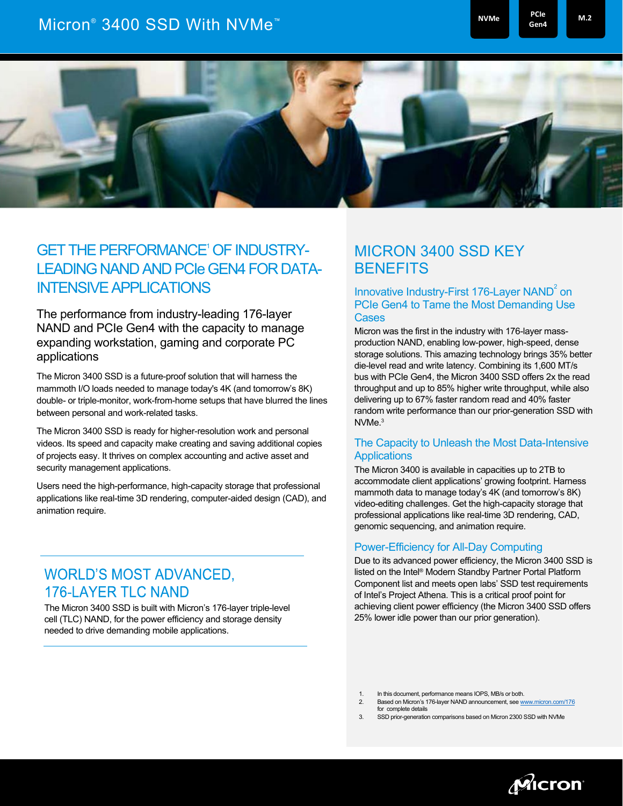# Micron® 3400 SSD With NVMe<sup>™</sup> P<sup>CIe</sup> and P<sup>PCIe</sup> and P<sup>PCIe</sup> and

**NVMe PCIe M.2** 

**Gen4**



## GET THE PERFORMANCE' OF INDUSTRY-LEADING NAND AND PCIe GEN4 FOR DATA-INTENSIVE APPLICATIONS

The performance from industry-leading 176-layer NAND and PCIe Gen4 with the capacity to manage expanding workstation, gaming and corporate PC applications

The Micron 3400 SSD is a future-proof solution that will harness the mammoth I/O loads needed to manage today's 4K (and tomorrow's 8K) double- or triple-monitor, work-from-home setups that have blurred the lines between personal and work-related tasks.

The Micron 3400 SSD is ready for higher-resolution work and personal videos. Its speed and capacity make creating and saving additional copies of projects easy. It thrives on complex accounting and active asset and security management applications.

Users need the high-performance, high-capacity storage that professional applications like real-time 3D rendering, computer-aided design (CAD), and animation require.

### **WORLD'S MOST ADVANCED, 176-LAYER TLC NAND**

The Micron 3400 SSD is built with Micron's 176-layer triple-level cell (TLC) NAND, for the power efficiency and storage density needed to drive demanding mobile applications.

### MICRON 3400 SSD KEY **BENEFITS**

#### Innovative Industry-First 176-Layer NAND<sup>2</sup> on PCIe Gen4 to Tame the Most Demanding Use **Cases**

Micron was the first in the industry with 176-layer massproduction NAND, enabling low-power, high-speed, dense storage solutions. This amazing technology brings 35% better die-level read and write latency. Combining its 1,600 MT/s bus with PCIe Gen4, the Micron 3400 SSD offers 2x the read throughput and up to 85% higher write throughput, while also delivering up to 67% faster random read and 40% faster random write performance than our prior-generation SSD with NVMe. 3

#### The Capacity to Unleash the Most Data-Intensive **Applications**

The Micron 3400 is available in capacities up to 2TB to accommodate client applications' growing footprint. Harness mammoth data to manage today's 4K (and tomorrow's 8K) video-editing challenges. Get the high-capacity storage that professional applications like real-time 3D rendering, CAD, genomic sequencing, and animation require.

#### Power-Efficiency for All-Day Computing

Due to its advanced power efficiency, the Micron 3400 SSD is listed on the Intel® Modern Standby Partner Portal Platform Component list and meets open labs' SSD test requirements of Intel's Project Athena. This is a critical proof point for achieving client power efficiency (the Micron 3400 SSD offers 25% lower idle power than our prior generation).

- 2. Based on Micron's 176-layer NAND announcement, se[e www.micron.com/176](http://www.micron.com/176) for complete detail
- 3. SSD prior-generation comparisons based on Micron 2300 SSD with NVMe



<sup>1.</sup> In this document, performance means IOPS, MB/s or both.